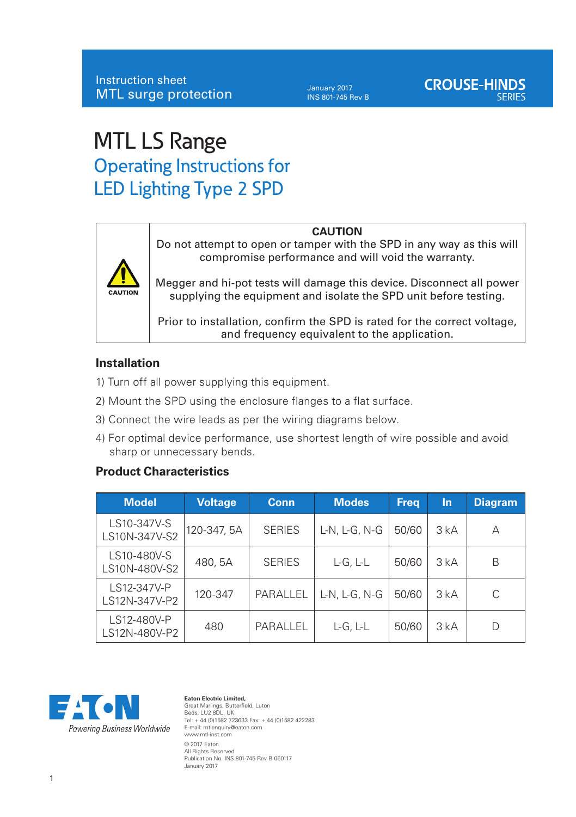January 2017 INS 801-745 Rev B

# MTL LS Range Operating Instructions for LED Lighting Type 2 SPD



#### **CAUTION**

Do not attempt to open or tamper with the SPD in any way as this will compromise performance and will void the warranty.

Megger and hi-pot tests will damage this device. Disconnect all power supplying the equipment and isolate the SPD unit before testing.

Prior to installation, confirm the SPD is rated for the correct voltage, and frequency equivalent to the application.

#### **Installation**

- 1) Turn off all power supplying this equipment.
- 2) Mount the SPD using the enclosure flanges to a flat surface.
- 3) Connect the wire leads as per the wiring diagrams below.
- 4) For optimal device performance, use shortest length of wire possible and avoid sharp or unnecessary bends.

### **Product Characteristics**

| <b>Model</b>                 | <b>Voltage</b> | Conn          | <b>Modes</b>  | <b>Freg</b> | In  | <b>Diagram</b> |
|------------------------------|----------------|---------------|---------------|-------------|-----|----------------|
| LS10-347V-S<br>LS10N-347V-S2 | 120-347, 5A    | <b>SERIES</b> | L-N, L-G, N-G | 50/60       | 3kA | А              |
| LS10-480V-S<br>LS10N-480V-S2 | 480, 5A        | <b>SERIES</b> | $L-G, L-L$    | 50/60       | 3kA | B              |
| LS12-347V-P<br>LS12N-347V-P2 | 120-347        | PARALLEL      | L-N, L-G, N-G | 50/60       | 3kA | C              |
| LS12-480V-P<br>LS12N-480V-P2 | 480            | PARALLEL      | $L-G, L-L$    | 50/60       | 3kA | D              |



**Eaton Electric Limited,**  Great Marlings, Butterfield, Luton Beds, LU2 8DL, UK. Tel: + 44 (0)1582 723633 Fax: + 44 (0)1582 422283 E-mail: mtlenquiry@eaton.com www.mtl-inst.com © 2017 Eaton All Rights Reserved Publication No. INS 801-745 Rev B 060117 January 2017